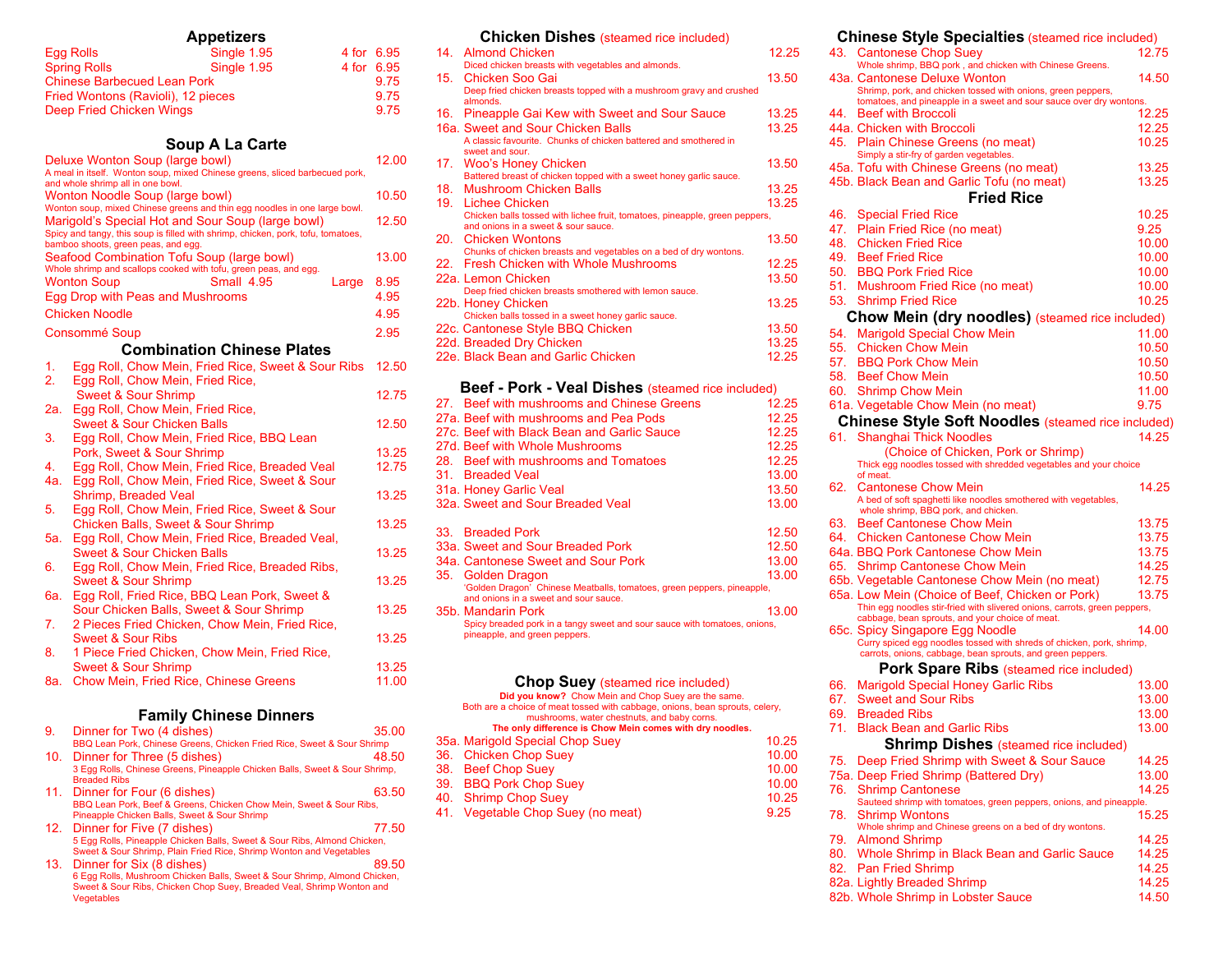|     | <b>Appetizers</b>                                                                                                                     |            |                |
|-----|---------------------------------------------------------------------------------------------------------------------------------------|------------|----------------|
|     | Single 1.95<br>Egg Rolls                                                                                                              | 4 for 6.95 |                |
|     | Single 1.95<br><b>Spring Rolls</b>                                                                                                    | 4 for      | 6.95           |
|     | <b>Chinese Barbecued Lean Pork</b>                                                                                                    |            | 9.75           |
|     | Fried Wontons (Ravioli), 12 pieces                                                                                                    |            | 9.75           |
|     | Deep Fried Chicken Wings                                                                                                              |            | 9.75           |
|     |                                                                                                                                       |            |                |
|     | Soup A La Carte                                                                                                                       |            |                |
|     | Deluxe Wonton Soup (large bowl)<br>A meal in itself. Wonton soup, mixed Chinese greens, sliced barbecued pork,                        |            | 12.00          |
|     | and whole shrimp all in one bowl.                                                                                                     |            |                |
|     | <b>Wonton Noodle Soup (large bowl)</b>                                                                                                |            | 10.50          |
|     | Wonton soup, mixed Chinese greens and thin egg noodles in one large bowl.                                                             |            | 12.50          |
|     | Marigold's Special Hot and Sour Soup (large bowl)<br>Spicy and tangy, this soup is filled with shrimp, chicken, pork, tofu, tomatoes, |            |                |
|     | bamboo shoots, green peas, and egg.<br>Seafood Combination Tofu Soup (large bowl)                                                     |            | 13.00          |
|     | Whole shrimp and scallops cooked with tofu, green peas, and egg.                                                                      |            |                |
|     | Small 4.95<br><b>Wonton Soup</b>                                                                                                      | Large      | 8.95           |
|     | Egg Drop with Peas and Mushrooms                                                                                                      |            | 4.95           |
|     | Chicken Noodle                                                                                                                        |            | 4.95           |
|     | Consommé Soup                                                                                                                         |            | 2.95           |
|     | <b>Combination Chinese Plates</b>                                                                                                     |            |                |
| 1.  | Egg Roll, Chow Mein, Fried Rice, Sweet & Sour Ribs                                                                                    |            | 12.50          |
| 2.  | Egg Roll, Chow Mein, Fried Rice,                                                                                                      |            |                |
|     | Sweet & Sour Shrimp                                                                                                                   |            | 12.75          |
| 2a. | Egg Roll, Chow Mein, Fried Rice,                                                                                                      |            |                |
| 3.  | <b>Sweet &amp; Sour Chicken Balls</b><br>Egg Roll, Chow Mein, Fried Rice, BBQ Lean                                                    |            | 12.50          |
|     | Pork, Sweet & Sour Shrimp                                                                                                             |            | 13.25          |
| 4.  | Egg Roll, Chow Mein, Fried Rice, Breaded Veal                                                                                         |            | 12.75          |
| 4a. | Egg Roll, Chow Mein, Fried Rice, Sweet & Sour                                                                                         |            |                |
|     | Shrimp, Breaded Veal                                                                                                                  |            | 13.25          |
| 5.  | Egg Roll, Chow Mein, Fried Rice, Sweet & Sour                                                                                         |            |                |
|     | <b>Chicken Balls, Sweet &amp; Sour Shrimp</b>                                                                                         |            | 13.25          |
| 5а. | Egg Roll, Chow Mein, Fried Rice, Breaded Veal,                                                                                        |            |                |
|     | <b>Sweet &amp; Sour Chicken Balls</b>                                                                                                 |            | 13.25          |
| 6.  | Egg Roll, Chow Mein, Fried Rice, Breaded Ribs,                                                                                        |            |                |
|     | Sweet & Sour Shrimp                                                                                                                   |            | 13.25          |
| 6a. | Egg Roll, Fried Rice, BBQ Lean Pork, Sweet &                                                                                          |            |                |
|     | Sour Chicken Balls, Sweet & Sour Shrimp                                                                                               |            | 13.25          |
| 7.  | 2 Pieces Fried Chicken, Chow Mein, Fried Rice,                                                                                        |            |                |
|     | <b>Sweet &amp; Sour Ribs</b>                                                                                                          |            | 13.25          |
| 8.  | 1 Piece Fried Chicken, Chow Mein, Fried Rice,                                                                                         |            |                |
|     | <b>Sweet &amp; Sour Shrimp</b>                                                                                                        |            | 13.25<br>11.00 |
| 8a. | <b>Chow Mein, Fried Rice, Chinese Greens</b>                                                                                          |            |                |
|     | <b>Family Chinese Dinners</b>                                                                                                         |            |                |
| 9.  | Dinner for Two (4 dishes)                                                                                                             |            | 35.00          |
|     | BBQ Lean Pork, Chinese Greens, Chicken Fried Rice, Sweet & Sour Shrimp                                                                |            |                |
| 1∩  | Dinnar for Thraa (5 diehae)                                                                                                           |            | <b>AR 50</b>   |

- 10. Dinner for Three (5 dishes) 48.50 3 Egg Rolls, Chinese Greens, Pineapple Chicken Balls, Sweet & Sour Shrimp, Breaded Ribs 11. Dinner for Four (6 dishes) 63.50 BBQ Lean Pork, Beef & Greens, Chicken Chow Mein, Sweet & Sour Ribs, Pineapple Chicken Balls, Sweet & Sour Shrimp 12. Dinner for Five (7 dishes) 77.50 5 Egg Rolls, Pineapple Chicken Balls, Sweet & Sour Ribs, Almond Chicken, Sweet & Sour Shrimp, Plain Fried Rice, Shrimp Wonton and Vegetables<br>
13. Dinner for Six (8 dishes) 89.50 6 Egg Rolls, Mushroom Chicken Balls, Sweet & Sour Shrimp, Almond Chicken,
- Sweet & Sour Ribs, Chicken Chop Suey, Breaded Veal, Shrimp Wonton and Vegetables

| 14. | <b>Almond Chicken</b>                                                                    | 12.25 |
|-----|------------------------------------------------------------------------------------------|-------|
|     | Diced chicken breasts with vegetables and almonds.                                       |       |
| 15. | Chicken Soo Gai                                                                          | 13.50 |
|     | Deep fried chicken breasts topped with a mushroom gravy and crushed<br>almonds.          |       |
|     | 16. Pineapple Gai Kew with Sweet and Sour Sauce                                          | 13.25 |
|     | 16a. Sweet and Sour Chicken Balls                                                        | 13.25 |
|     | A classic favourite. Chunks of chicken battered and smothered in<br>sweet and sour.      |       |
| 17. | <b>Woo's Honey Chicken</b>                                                               | 13.50 |
|     | Battered breast of chicken topped with a sweet honey garlic sauce.                       |       |
| 18. | <b>Mushroom Chicken Balls</b>                                                            | 13.25 |
| 19. | <b>Lichee Chicken</b>                                                                    | 13.25 |
|     | Chicken balls tossed with lichee fruit, tomatoes, pineapple, green peppers,              |       |
|     | and onions in a sweet & sour sauce.                                                      |       |
|     | 20. Chicken Wontons<br>Chunks of chicken breasts and vegetables on a bed of dry wontons. | 13.50 |
|     | 22. Fresh Chicken with Whole Mushrooms                                                   | 12.25 |
|     | 22a. Lemon Chicken                                                                       | 13.50 |
|     | Deep fried chicken breasts smothered with lemon sauce.                                   |       |
|     | 22b. Honey Chicken                                                                       | 13.25 |
|     | Chicken balls tossed in a sweet honey garlic sauce.                                      |       |
|     | 22c. Cantonese Style BBQ Chicken                                                         | 13.50 |
|     | 22d. Breaded Dry Chicken                                                                 | 13.25 |
|     | 22e. Black Bean and Garlic Chicken                                                       | 12.25 |
|     |                                                                                          |       |
|     | Beef - Pork - Veal Dishes (steamed rice included)                                        |       |
|     | 27. Beef with mushrooms and Chinese Greens                                               | 12.25 |
|     | 27a. Beef with mushrooms and Pea Pods                                                    | 12.25 |
|     | 27c. Beef with Black Bean and Garlic Sauce                                               | 12.25 |
|     | 27d. Beef with Whole Mushrooms                                                           | 12.25 |
|     | 28. Beef with mushrooms and Tomatoes                                                     | 12.25 |
|     | 31. Breaded Veal                                                                         | 13.00 |
|     | 31a. Honey Garlic Veal                                                                   | 13.50 |
|     | 32a. Sweet and Sour Breaded Veal                                                         | 13.00 |
|     |                                                                                          |       |
|     | 33. Breaded Pork                                                                         | 12.50 |
|     | 33a. Sweet and Sour Breaded Pork                                                         | 12.50 |
|     | 34a. Cantonese Sweet and Sour Pork                                                       | 13.00 |
| 35. | <b>Golden Dragon</b>                                                                     | 13.00 |
|     | 'Golden Dragon' Chinese Meatballs, tomatoes, green peppers, pineapple,                   |       |
|     | and onions in a sweet and sour sauce.                                                    |       |
|     | 35b. Mandarin Pork                                                                       | 13.00 |
|     | Spicy breaded pork in a tangy sweet and sour sauce with tomatoes, onions,                |       |

**Chicken Dishes** (steamed rice included)

| pineapple, and green peppers.                                                                                               |       |
|-----------------------------------------------------------------------------------------------------------------------------|-------|
| <b>Chop Suey (steamed rice included)</b>                                                                                    |       |
| Did you know? Chow Mein and Chop Suey are the same.                                                                         |       |
| Both are a choice of meat tossed with cabbage, onions, bean sprouts, celery,<br>mushrooms, water chestnuts, and baby corns. |       |
| The only difference is Chow Mein comes with dry noodles.                                                                    |       |
| 35a. Marigold Special Chop Suey                                                                                             | 10.25 |
| 36. Chicken Chop Suey                                                                                                       | 10.00 |
|                                                                                                                             |       |

| 38. Beef Chop Suey                | 10.00 |
|-----------------------------------|-------|
| 39. BBQ Pork Chop Suey            | 10.00 |
| 40. Shrimp Chop Suey              | 10.25 |
| $14$ Vegatable Chan Cuay(no moot) | n or  |

41. Vegetable Chop Suey (no meat) 9.25

#### **Chinese Style Specialties** (steamed rice included)

| 43.        | . . <i>.</i><br>Cantonese Chop Suey                                                                                                 | 12.75          |
|------------|-------------------------------------------------------------------------------------------------------------------------------------|----------------|
|            | Whole shrimp, BBQ pork, and chicken with Chinese Greens.                                                                            |                |
|            | 43a. Cantonese Deluxe Wonton                                                                                                        | 14.50          |
|            | Shrimp, pork, and chicken tossed with onions, green peppers,<br>tomatoes, and pineapple in a sweet and sour sauce over dry wontons. |                |
|            | 44. Beef with Broccoli                                                                                                              | 12.25          |
|            | 44a. Chicken with Broccoli                                                                                                          | 12.25          |
|            | 45. Plain Chinese Greens (no meat)                                                                                                  | 10.25          |
|            | Simply a stir-fry of garden vegetables.                                                                                             |                |
|            | 45a. Tofu with Chinese Greens (no meat)                                                                                             | 13.25          |
|            | 45b. Black Bean and Garlic Tofu (no meat)                                                                                           | 13.25          |
|            | Fried Rice                                                                                                                          |                |
| 46.        | <b>Special Fried Rice</b>                                                                                                           | 10.25          |
| 47.<br>48. | Plain Fried Rice (no meat)                                                                                                          | 9.25           |
| 49.        | <b>Chicken Fried Rice</b><br><b>Beef Fried Rice</b>                                                                                 | 10.00<br>10.00 |
|            | 50. BBQ Pork Fried Rice                                                                                                             | 10.00          |
|            | 51. Mushroom Fried Rice (no meat)                                                                                                   | 10.00          |
|            | 53. Shrimp Fried Rice                                                                                                               | 10.25          |
|            |                                                                                                                                     |                |
|            | Chow Mein (dry noodles) (steamed rice included)                                                                                     |                |
| 54.        | <b>Marigold Special Chow Mein</b><br><b>Chicken Chow Mein</b>                                                                       | 11.00          |
| 55.<br>57. | <b>BBQ Pork Chow Mein</b>                                                                                                           | 10.50          |
|            | 58. Beef Chow Mein                                                                                                                  | 10.50<br>10.50 |
| 60.        | <b>Shrimp Chow Mein</b>                                                                                                             | 11.00          |
|            | 61a. Vegetable Chow Mein (no meat)                                                                                                  | 9.75           |
|            |                                                                                                                                     |                |
|            | <b>Chinese Style Soft Noodles (steamed rice included)</b>                                                                           |                |
| 61.        | <b>Shanghai Thick Noodles</b><br>(Choice of Chicken, Pork or Shrimp)                                                                | 14.25          |
|            | Thick egg noodles tossed with shredded vegetables and your choice                                                                   |                |
|            | of meat.                                                                                                                            |                |
| 62.        | <b>Cantonese Chow Mein</b>                                                                                                          | 14.25          |
|            | A bed of soft spaghetti like noodles smothered with vegetables,<br>whole shrimp, BBQ pork, and chicken.                             |                |
| 63.        | <b>Beef Cantonese Chow Mein</b>                                                                                                     | 13.75          |
|            | 64. Chicken Cantonese Chow Mein                                                                                                     | 13.75          |
|            | 64a. BBQ Pork Cantonese Chow Mein                                                                                                   | 13.75          |
| 65.        | <b>Shrimp Cantonese Chow Mein</b>                                                                                                   | 14.25          |
|            | 65b. Vegetable Cantonese Chow Mein (no meat)                                                                                        | 12.75          |
|            | 65a. Low Mein (Choice of Beef, Chicken or Pork)                                                                                     | 13.75          |
|            | Thin egg noodles stir-fried with slivered onions, carrots, green peppers,                                                           |                |
|            | cabbage, bean sprouts, and your choice of meat.<br>65c. Spicy Singapore Egg Noodle                                                  | 14.00          |
|            | Curry spiced egg noodles tossed with shreds of chicken, pork, shrimp,                                                               |                |
|            | carrots, onions, cabbage, bean sprouts, and green peppers.                                                                          |                |
|            | <b>Pork Spare Ribs</b> (steamed rice included)                                                                                      |                |
| 66.        | <b>Marigold Special Honey Garlic Ribs</b>                                                                                           | 13.00          |
| 67.        | <b>Sweet and Sour Ribs</b>                                                                                                          | 13.00          |
| 69.        | <b>Breaded Ribs</b>                                                                                                                 | 13.00          |
| 71.        | <b>Black Bean and Garlic Ribs</b>                                                                                                   | 13.00          |
|            | <b>Shrimp Dishes (steamed rice included)</b>                                                                                        |                |
| 75.        | Deep Fried Shrimp with Sweet & Sour Sauce                                                                                           | 14.25          |
|            | 75a. Deep Fried Shrimp (Battered Dry)                                                                                               | 13.00          |
| 76.        | <b>Shrimp Cantonese</b>                                                                                                             | 14.25          |
|            | Sauteed shrimp with tomatoes, green peppers, onions, and pineapple.                                                                 |                |
| 78.        | <b>Shrimp Wontons</b><br>Whole shrimp and Chinese greens on a bed of dry wontons.                                                   | 15.25          |
| 79.        | <b>Almond Shrimp</b>                                                                                                                | 14.25          |
| 80.        | Whole Shrimp in Black Bean and Garlic Sauce                                                                                         | 14.25          |
| 82.        | <b>Pan Fried Shrimp</b>                                                                                                             | 14.25          |
|            | 82a. Lightly Breaded Shrimp                                                                                                         | 14.25          |
|            | 82b. Whole Shrimp in Lobster Sauce                                                                                                  | 14.50          |